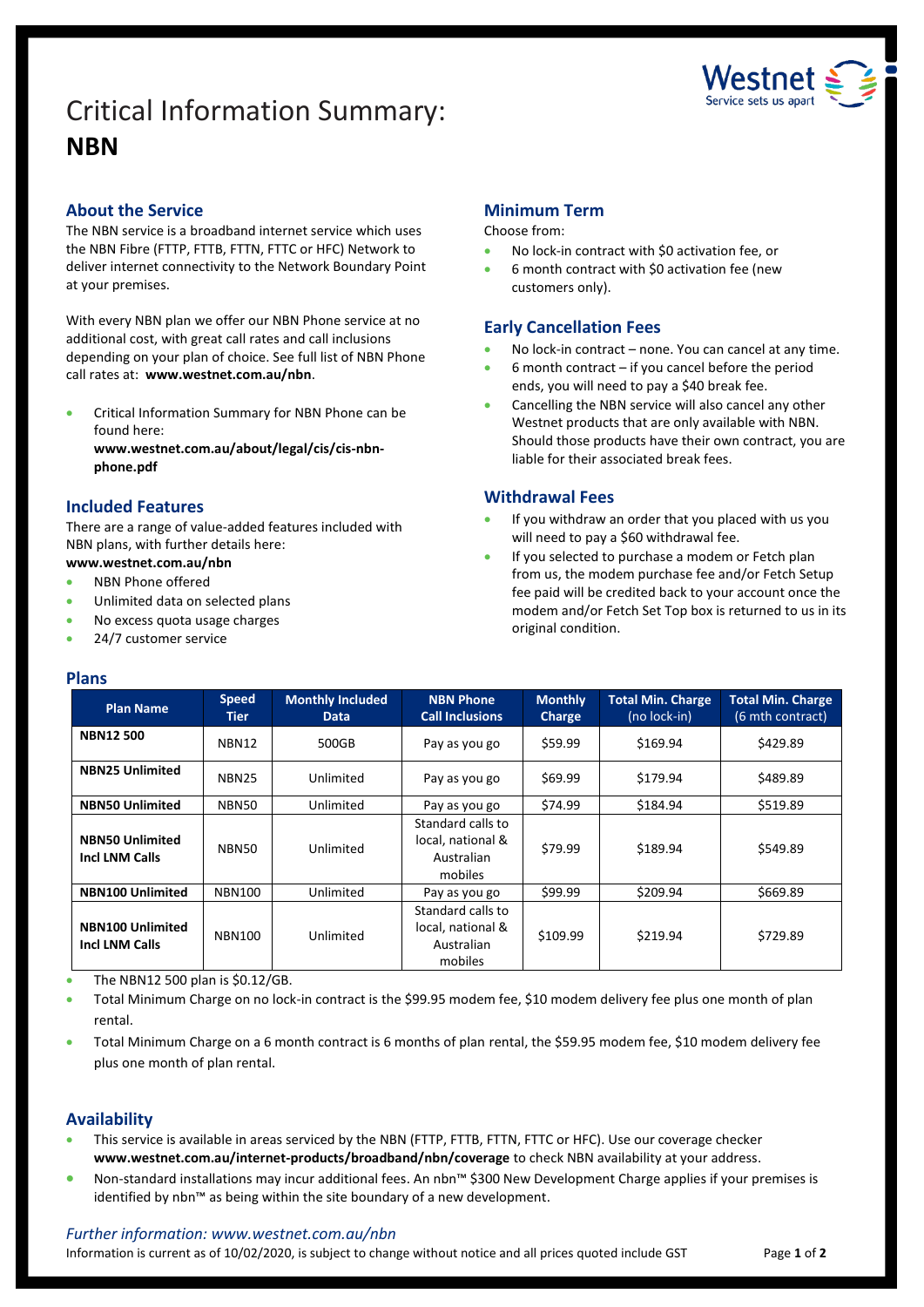# Critical Information Summary: **NBN**



## **About the Service**

The NBN service is a broadband internet service which uses the NBN Fibre (FTTP, FTTB, FTTN, FTTC or HFC) Network to deliver internet connectivity to the Network Boundary Point at your premises.

With every NBN plan we offer our NBN Phone service at no additional cost, with great call rates and call inclusions depending on your plan of choice. See full list of NBN Phone call rates at: **www.westnet.com.au/nbn**.

 Critical Information Summary for NBN Phone can be found here:

**www.westnet.com.au/about/legal/cis/cis-nbnphone.pdf**

## **Included Features**

There are a range of value-added features included with NBN plans, with further details here:

## **www.westnet.com.au/nbn**

- NBN Phone offered
- Unlimited data on selected plans
- No excess quota usage charges
- 24/7 customer service

#### **Plans**

### **Minimum Term**

#### Choose from:

- No lock-in contract with \$0 activation fee, or
- 6 month contract with \$0 activation fee (new customers only).

### **Early Cancellation Fees**

- No lock-in contract none. You can cancel at any time.
- 6 month contract if you cancel before the period ends, you will need to pay a \$40 break fee.
- Cancelling the NBN service will also cancel any other Westnet products that are only available with NBN. Should those products have their own contract, you are liable for their associated break fees.

### **Withdrawal Fees**

- If you withdraw an order that you placed with us you will need to pay a \$60 withdrawal fee.
- If you selected to purchase a modem or Fetch plan from us, the modem purchase fee and/or Fetch Setup fee paid will be credited back to your account once the modem and/or Fetch Set Top box is returned to us in its original condition.

| <b>Plan Name</b>                                 | <b>Speed</b><br>Tier | <b>Monthly Included</b><br>Data | <b>NBN Phone</b><br><b>Call Inclusions</b>                      | <b>Monthly</b><br><b>Charge</b> | <b>Total Min. Charge</b><br>(no lock-in) | <b>Total Min. Charge</b><br>(6 mth contract) |
|--------------------------------------------------|----------------------|---------------------------------|-----------------------------------------------------------------|---------------------------------|------------------------------------------|----------------------------------------------|
| <b>NBN12500</b>                                  | NBN12                | 500GB                           | Pay as you go                                                   | \$59.99                         | \$169.94                                 | \$429.89                                     |
| <b>NBN25 Unlimited</b>                           | <b>NBN25</b>         | Unlimited                       | Pay as you go                                                   | \$69.99                         | \$179.94                                 | \$489.89                                     |
| <b>NBN50 Unlimited</b>                           | NBN50                | Unlimited                       | Pay as you go                                                   | \$74.99                         | \$184.94                                 | \$519.89                                     |
| <b>NBN50 Unlimited</b><br><b>Incl LNM Calls</b>  | NBN50                | Unlimited                       | Standard calls to<br>local, national &<br>Australian<br>mobiles | \$79.99                         | \$189.94                                 | \$549.89                                     |
| <b>NBN100 Unlimited</b>                          | <b>NBN100</b>        | Unlimited                       | Pay as you go                                                   | \$99.99                         | \$209.94                                 | \$669.89                                     |
| <b>NBN100 Unlimited</b><br><b>Incl LNM Calls</b> | <b>NBN100</b>        | Unlimited                       | Standard calls to<br>local, national &<br>Australian<br>mobiles | \$109.99                        | \$219.94                                 | \$729.89                                     |

The NBN12 500 plan is \$0.12/GB.

 Total Minimum Charge on no lock-in contract is the \$99.95 modem fee, \$10 modem delivery fee plus one month of plan rental.

 Total Minimum Charge on a 6 month contract is 6 months of plan rental, the \$59.95 modem fee, \$10 modem delivery fee plus one month of plan rental.

#### **Availability**

- This service is available in areas serviced by the NBN (FTTP, FTTB, FTTN, FTTC or HFC). Use ou[r coverage checker](https://www.westnet.com.au/internet-products/broadband/nbn/coverage/) **www.westnet.com.au/internet-products/broadband/nbn/coverage** to check NBN availability at your address.
- Non-standard installations may incur additional fees. An nbn™ \$300 New Development Charge applies if your premises is identified by nbn™ as being within the site boundary of a new development.

#### *Further information: www.westnet.com.au/nbn*

Information is current as of 10/02/2020, is subject to change without notice and all prices quoted include GST Page 1 of 2